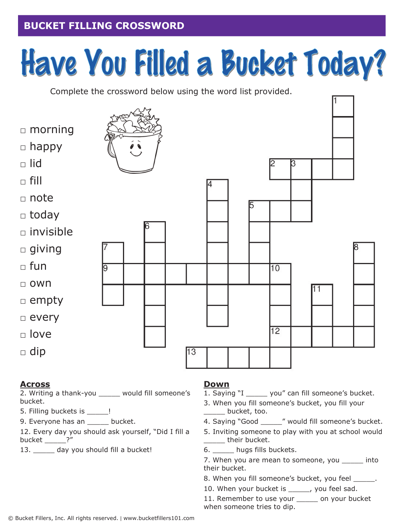## **BUCKET FILLING CROSSWORD**

# Have You Filled a Bucket Today?

Complete the crossword below using the word list provided.



#### **Across**

2. Writing a thank-you \_\_\_\_\_ would fill someone's bucket.

- 5. Filling buckets is \_\_\_\_\_!
- 9. Everyone has an bucket.

12. Every day you should ask yourself, "Did I fill a bucket \_\_\_\_\_?"

13. \_\_\_\_\_\_ day you should fill a bucket!

#### **Down**

- 1. Saying "I \_\_\_\_\_\_ you" can fill someone's bucket.
- 3. When you fill someone's bucket, you fill your \_\_\_\_\_ bucket, too.
- 4. Saying "Good \_\_\_\_\_" would fill someone's bucket.
- 5. Inviting someone to play with you at school would \_\_\_\_\_ their bucket.
- 6. \_\_\_\_\_ hugs fills buckets.
- 7. When you are mean to someone, you \_\_\_\_\_ into their bucket.
- 8. When you fill someone's bucket, you feel \_\_\_\_\_\_.
- 10. When your bucket is \_\_\_\_\_\_, you feel sad.

11. Remember to use your \_\_\_\_\_ on your bucket when someone tries to dip.